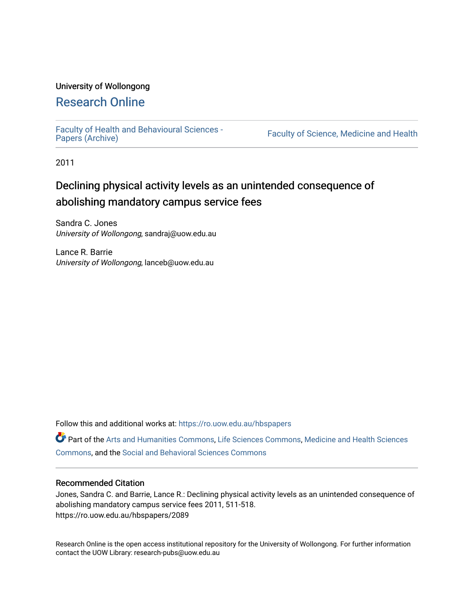### University of Wollongong

## [Research Online](https://ro.uow.edu.au/)

[Faculty of Health and Behavioural Sciences -](https://ro.uow.edu.au/hbspapers)<br>Papers (Archive)

Faculty of Science, Medicine and Health

2011

## Declining physical activity levels as an unintended consequence of abolishing mandatory campus service fees

Sandra C. Jones University of Wollongong, sandraj@uow.edu.au

Lance R. Barrie University of Wollongong, lanceb@uow.edu.au

Follow this and additional works at: [https://ro.uow.edu.au/hbspapers](https://ro.uow.edu.au/hbspapers?utm_source=ro.uow.edu.au%2Fhbspapers%2F2089&utm_medium=PDF&utm_campaign=PDFCoverPages) 

Part of the [Arts and Humanities Commons,](http://network.bepress.com/hgg/discipline/438?utm_source=ro.uow.edu.au%2Fhbspapers%2F2089&utm_medium=PDF&utm_campaign=PDFCoverPages) [Life Sciences Commons,](http://network.bepress.com/hgg/discipline/1016?utm_source=ro.uow.edu.au%2Fhbspapers%2F2089&utm_medium=PDF&utm_campaign=PDFCoverPages) [Medicine and Health Sciences](http://network.bepress.com/hgg/discipline/648?utm_source=ro.uow.edu.au%2Fhbspapers%2F2089&utm_medium=PDF&utm_campaign=PDFCoverPages) [Commons](http://network.bepress.com/hgg/discipline/648?utm_source=ro.uow.edu.au%2Fhbspapers%2F2089&utm_medium=PDF&utm_campaign=PDFCoverPages), and the [Social and Behavioral Sciences Commons](http://network.bepress.com/hgg/discipline/316?utm_source=ro.uow.edu.au%2Fhbspapers%2F2089&utm_medium=PDF&utm_campaign=PDFCoverPages)

### Recommended Citation

Jones, Sandra C. and Barrie, Lance R.: Declining physical activity levels as an unintended consequence of abolishing mandatory campus service fees 2011, 511-518. https://ro.uow.edu.au/hbspapers/2089

Research Online is the open access institutional repository for the University of Wollongong. For further information contact the UOW Library: research-pubs@uow.edu.au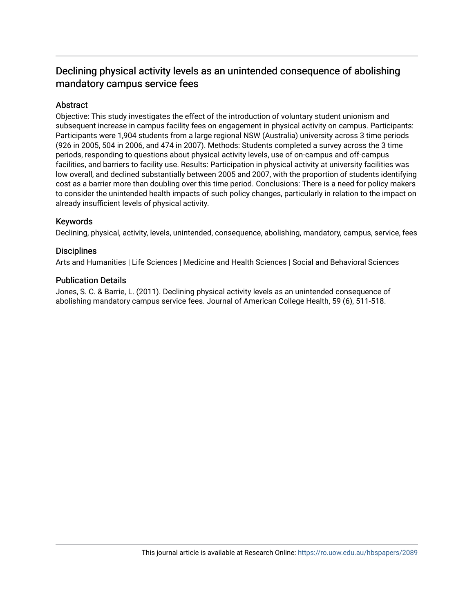### Declining physical activity levels as an unintended consequence of abolishing mandatory campus service fees

### Abstract

Objective: This study investigates the effect of the introduction of voluntary student unionism and subsequent increase in campus facility fees on engagement in physical activity on campus. Participants: Participants were 1,904 students from a large regional NSW (Australia) university across 3 time periods (926 in 2005, 504 in 2006, and 474 in 2007). Methods: Students completed a survey across the 3 time periods, responding to questions about physical activity levels, use of on-campus and off-campus facilities, and barriers to facility use. Results: Participation in physical activity at university facilities was low overall, and declined substantially between 2005 and 2007, with the proportion of students identifying cost as a barrier more than doubling over this time period. Conclusions: There is a need for policy makers to consider the unintended health impacts of such policy changes, particularly in relation to the impact on already insufficient levels of physical activity.

### Keywords

Declining, physical, activity, levels, unintended, consequence, abolishing, mandatory, campus, service, fees

### **Disciplines**

Arts and Humanities | Life Sciences | Medicine and Health Sciences | Social and Behavioral Sciences

### Publication Details

Jones, S. C. & Barrie, L. (2011). Declining physical activity levels as an unintended consequence of abolishing mandatory campus service fees. Journal of American College Health, 59 (6), 511-518.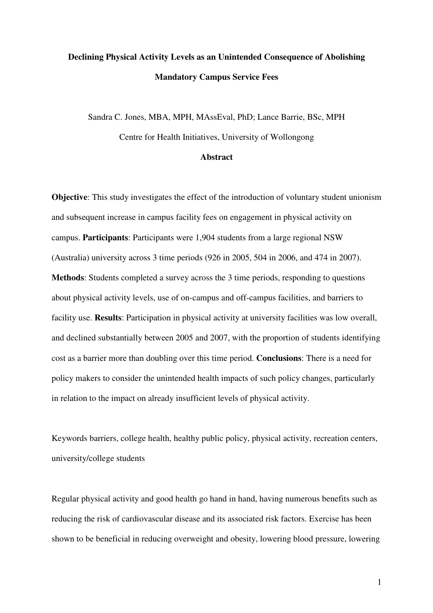# **Declining Physical Activity Levels as an Unintended Consequence of Abolishing Mandatory Campus Service Fees**

Sandra C. Jones, MBA, MPH, MAssEval, PhD; Lance Barrie, BSc, MPH Centre for Health Initiatives, University of Wollongong

### **Abstract**

**Objective**: This study investigates the effect of the introduction of voluntary student unionism and subsequent increase in campus facility fees on engagement in physical activity on campus. **Participants**: Participants were 1,904 students from a large regional NSW (Australia) university across 3 time periods (926 in 2005, 504 in 2006, and 474 in 2007). **Methods**: Students completed a survey across the 3 time periods, responding to questions about physical activity levels, use of on-campus and off-campus facilities, and barriers to facility use. **Results**: Participation in physical activity at university facilities was low overall, and declined substantially between 2005 and 2007, with the proportion of students identifying cost as a barrier more than doubling over this time period. **Conclusions**: There is a need for policy makers to consider the unintended health impacts of such policy changes, particularly in relation to the impact on already insufficient levels of physical activity.

Keywords barriers, college health, healthy public policy, physical activity, recreation centers, university/college students

Regular physical activity and good health go hand in hand, having numerous benefits such as reducing the risk of cardiovascular disease and its associated risk factors. Exercise has been shown to be beneficial in reducing overweight and obesity, lowering blood pressure, lowering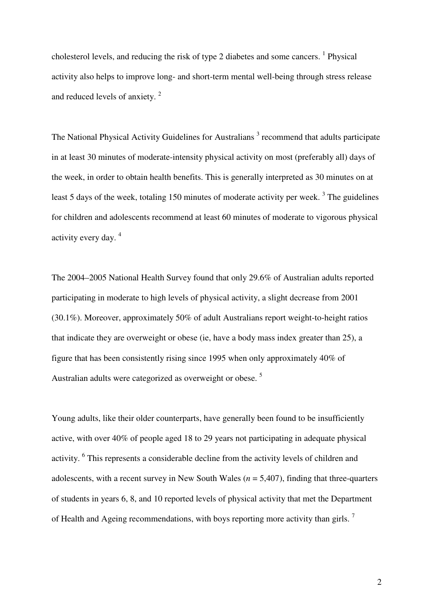cholesterol levels, and reducing the risk of type 2 diabetes and some cancers. <sup>1</sup> Physical activity also helps to improve long- and short-term mental well-being through stress release and reduced levels of anxiety. $2$ 

The National Physical Activity Guidelines for Australians<sup>3</sup> recommend that adults participate in at least 30 minutes of moderate-intensity physical activity on most (preferably all) days of the week, in order to obtain health benefits. This is generally interpreted as 30 minutes on at least 5 days of the week, totaling 150 minutes of moderate activity per week.<sup>3</sup> The guidelines for children and adolescents recommend at least 60 minutes of moderate to vigorous physical activity every day.<sup>4</sup>

The 2004–2005 National Health Survey found that only 29.6% of Australian adults reported participating in moderate to high levels of physical activity, a slight decrease from 2001 (30.1%). Moreover, approximately 50% of adult Australians report weight-to-height ratios that indicate they are overweight or obese (ie, have a body mass index greater than 25), a figure that has been consistently rising since 1995 when only approximately 40% of Australian adults were categorized as overweight or obese.<sup>5</sup>

Young adults, like their older counterparts, have generally been found to be insufficiently active, with over 40% of people aged 18 to 29 years not participating in adequate physical activity. <sup>6</sup> This represents a considerable decline from the activity levels of children and adolescents, with a recent survey in New South Wales (*n* = 5,407), finding that three-quarters of students in years 6, 8, and 10 reported levels of physical activity that met the Department of Health and Ageing recommendations, with boys reporting more activity than girls.<sup>7</sup>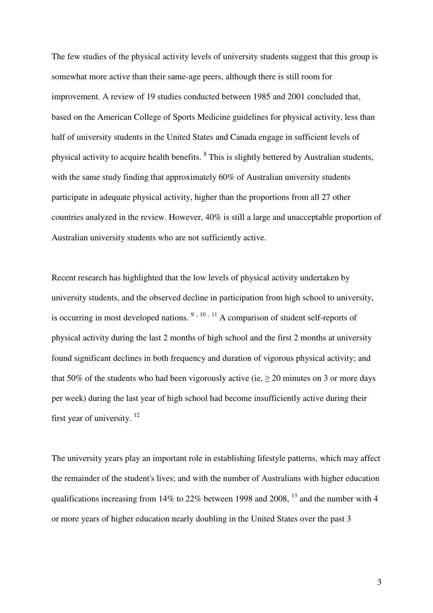The few studies of the physical activity levels of university students suggest that this group is somewhat more active than their same-age peers, although there is still room for improvement. A review of 19 studies conducted between 1985 and 2001 concluded that, based on the American College of Sports Medicine guidelines for physical activity, less than half of university students in the United States and Canada engage in sufficient levels of physical activity to acquire health benefits. <sup>8</sup> This is slightly bettered by Australian students, with the same study finding that approximately 60% of Australian university students participate in adequate physical activity, higher than the proportions from all 27 other countries analyzed in the review. However, 40% is still a large and unacceptable proportion of Australian university students who are not sufficiently active.

Recent research has highlighted that the low levels of physical activity undertaken by university students, and the observed decline in participation from high school to university, is occurring in most developed nations.  $9, 10, 11$  A comparison of student self-reports of physical activity during the last 2 months of high school and the first 2 months at university found significant declines in both frequency and duration of vigorous physical activity; and that 50% of the students who had been vigorously active (ie,  $\geq$  20 minutes on 3 or more days per week) during the last year of high school had become insufficiently active during their first year of university.<sup>12</sup>

The university years play an important role in establishing lifestyle patterns, which may affect the remainder of the student's lives; and with the number of Australians with higher education qualifications increasing from 14% to 22% between 1998 and 2008,  $^{13}$  and the number with 4 or more years of higher education nearly doubling in the United States over the past 3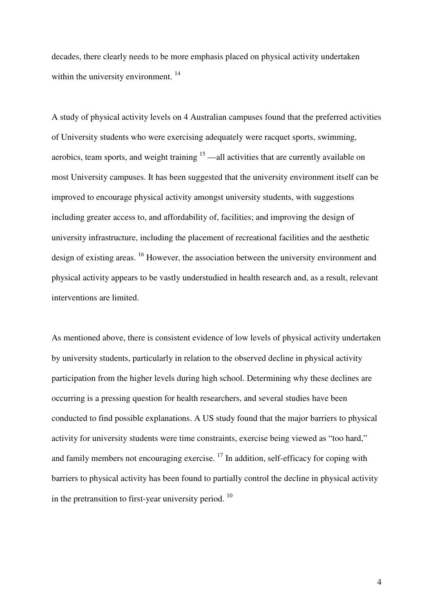decades, there clearly needs to be more emphasis placed on physical activity undertaken within the university environment.  $14$ 

A study of physical activity levels on 4 Australian campuses found that the preferred activities of University students who were exercising adequately were racquet sports, swimming, aerobics, team sports, and weight training  $15$  —all activities that are currently available on most University campuses. It has been suggested that the university environment itself can be improved to encourage physical activity amongst university students, with suggestions including greater access to, and affordability of, facilities; and improving the design of university infrastructure, including the placement of recreational facilities and the aesthetic design of existing areas. <sup>16</sup> However, the association between the university environment and physical activity appears to be vastly understudied in health research and, as a result, relevant interventions are limited.

As mentioned above, there is consistent evidence of low levels of physical activity undertaken by university students, particularly in relation to the observed decline in physical activity participation from the higher levels during high school. Determining why these declines are occurring is a pressing question for health researchers, and several studies have been conducted to find possible explanations. A US study found that the major barriers to physical activity for university students were time constraints, exercise being viewed as "too hard," and family members not encouraging exercise.  $17$  In addition, self-efficacy for coping with barriers to physical activity has been found to partially control the decline in physical activity in the pretransition to first-year university period.  $10$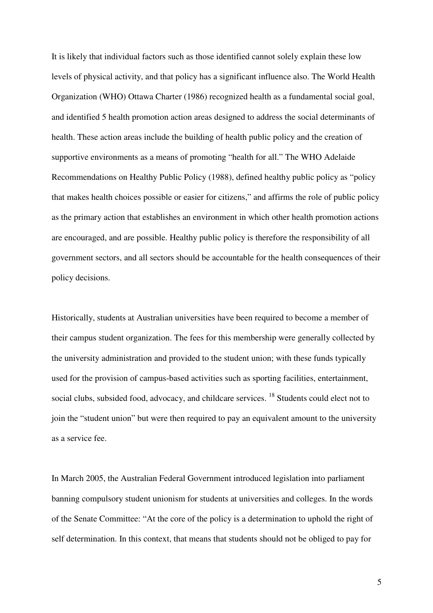It is likely that individual factors such as those identified cannot solely explain these low levels of physical activity, and that policy has a significant influence also. The World Health Organization (WHO) Ottawa Charter (1986) recognized health as a fundamental social goal, and identified 5 health promotion action areas designed to address the social determinants of health. These action areas include the building of health public policy and the creation of supportive environments as a means of promoting "health for all." The WHO Adelaide Recommendations on Healthy Public Policy (1988), defined healthy public policy as "policy that makes health choices possible or easier for citizens," and affirms the role of public policy as the primary action that establishes an environment in which other health promotion actions are encouraged, and are possible. Healthy public policy is therefore the responsibility of all government sectors, and all sectors should be accountable for the health consequences of their policy decisions.

Historically, students at Australian universities have been required to become a member of their campus student organization. The fees for this membership were generally collected by the university administration and provided to the student union; with these funds typically used for the provision of campus-based activities such as sporting facilities, entertainment, social clubs, subsided food, advocacy, and childcare services. <sup>18</sup> Students could elect not to join the "student union" but were then required to pay an equivalent amount to the university as a service fee.

In March 2005, the Australian Federal Government introduced legislation into parliament banning compulsory student unionism for students at universities and colleges. In the words of the Senate Committee: "At the core of the policy is a determination to uphold the right of self determination. In this context, that means that students should not be obliged to pay for

5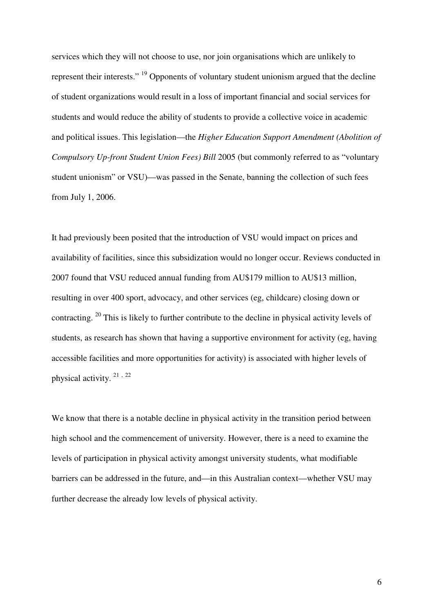services which they will not choose to use, nor join organisations which are unlikely to represent their interests." <sup>19</sup> Opponents of voluntary student unionism argued that the decline of student organizations would result in a loss of important financial and social services for students and would reduce the ability of students to provide a collective voice in academic and political issues. This legislation—the *Higher Education Support Amendment (Abolition of Compulsory Up-front Student Union Fees) Bill* 2005 (but commonly referred to as "voluntary student unionism" or VSU)—was passed in the Senate, banning the collection of such fees from July 1, 2006.

It had previously been posited that the introduction of VSU would impact on prices and availability of facilities, since this subsidization would no longer occur. Reviews conducted in 2007 found that VSU reduced annual funding from AU\$179 million to AU\$13 million, resulting in over 400 sport, advocacy, and other services (eg, childcare) closing down or contracting. <sup>20</sup> This is likely to further contribute to the decline in physical activity levels of students, as research has shown that having a supportive environment for activity (eg, having accessible facilities and more opportunities for activity) is associated with higher levels of physical activity.<sup>21,22</sup>

We know that there is a notable decline in physical activity in the transition period between high school and the commencement of university. However, there is a need to examine the levels of participation in physical activity amongst university students, what modifiable barriers can be addressed in the future, and—in this Australian context—whether VSU may further decrease the already low levels of physical activity.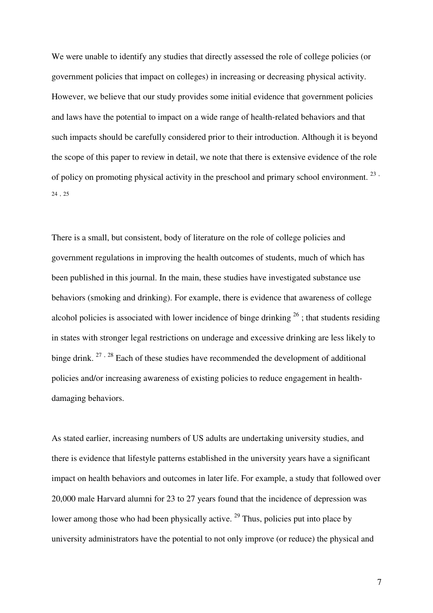We were unable to identify any studies that directly assessed the role of college policies (or government policies that impact on colleges) in increasing or decreasing physical activity. However, we believe that our study provides some initial evidence that government policies and laws have the potential to impact on a wide range of health-related behaviors and that such impacts should be carefully considered prior to their introduction. Although it is beyond the scope of this paper to review in detail, we note that there is extensive evidence of the role of policy on promoting physical activity in the preschool and primary school environment.  $^{23}$ 24 , 25

There is a small, but consistent, body of literature on the role of college policies and government regulations in improving the health outcomes of students, much of which has been published in this journal. In the main, these studies have investigated substance use behaviors (smoking and drinking). For example, there is evidence that awareness of college alcohol policies is associated with lower incidence of binge drinking  $^{26}$ ; that students residing in states with stronger legal restrictions on underage and excessive drinking are less likely to binge drink.  $27 \times 28$  Each of these studies have recommended the development of additional policies and/or increasing awareness of existing policies to reduce engagement in healthdamaging behaviors.

As stated earlier, increasing numbers of US adults are undertaking university studies, and there is evidence that lifestyle patterns established in the university years have a significant impact on health behaviors and outcomes in later life. For example, a study that followed over 20,000 male Harvard alumni for 23 to 27 years found that the incidence of depression was lower among those who had been physically active. <sup>29</sup> Thus, policies put into place by university administrators have the potential to not only improve (or reduce) the physical and

7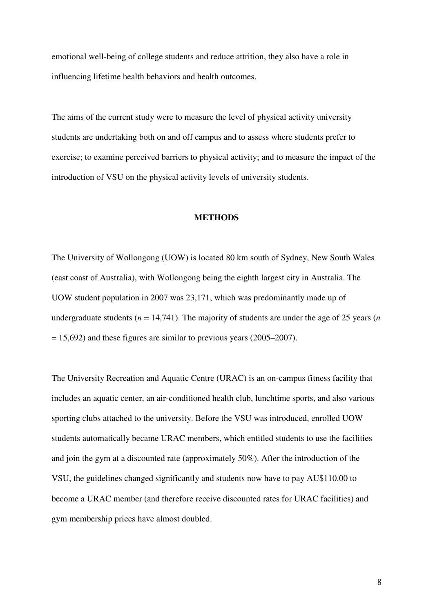emotional well-being of college students and reduce attrition, they also have a role in influencing lifetime health behaviors and health outcomes.

The aims of the current study were to measure the level of physical activity university students are undertaking both on and off campus and to assess where students prefer to exercise; to examine perceived barriers to physical activity; and to measure the impact of the introduction of VSU on the physical activity levels of university students.

### **METHODS**

The University of Wollongong (UOW) is located 80 km south of Sydney, New South Wales (east coast of Australia), with Wollongong being the eighth largest city in Australia. The UOW student population in 2007 was 23,171, which was predominantly made up of undergraduate students ( $n = 14,741$ ). The majority of students are under the age of 25 years ( $n = 14,741$ ).  $= 15,692$ ) and these figures are similar to previous years (2005–2007).

The University Recreation and Aquatic Centre (URAC) is an on-campus fitness facility that includes an aquatic center, an air-conditioned health club, lunchtime sports, and also various sporting clubs attached to the university. Before the VSU was introduced, enrolled UOW students automatically became URAC members, which entitled students to use the facilities and join the gym at a discounted rate (approximately 50%). After the introduction of the VSU, the guidelines changed significantly and students now have to pay AU\$110.00 to become a URAC member (and therefore receive discounted rates for URAC facilities) and gym membership prices have almost doubled.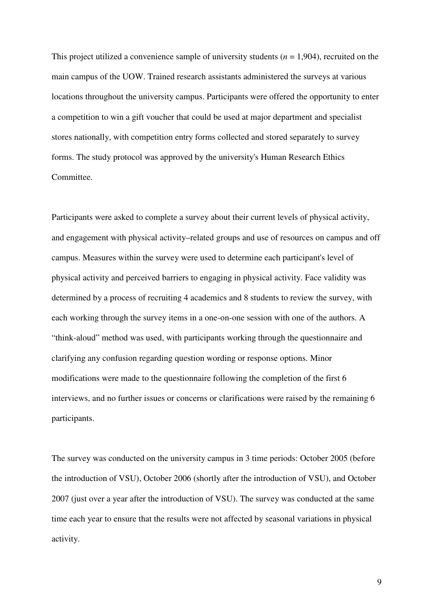This project utilized a convenience sample of university students (*n* = 1,904), recruited on the main campus of the UOW. Trained research assistants administered the surveys at various locations throughout the university campus. Participants were offered the opportunity to enter a competition to win a gift voucher that could be used at major department and specialist stores nationally, with competition entry forms collected and stored separately to survey forms. The study protocol was approved by the university's Human Research Ethics Committee.

Participants were asked to complete a survey about their current levels of physical activity, and engagement with physical activity–related groups and use of resources on campus and off campus. Measures within the survey were used to determine each participant's level of physical activity and perceived barriers to engaging in physical activity. Face validity was determined by a process of recruiting 4 academics and 8 students to review the survey, with each working through the survey items in a one-on-one session with one of the authors. A "think-aloud" method was used, with participants working through the questionnaire and clarifying any confusion regarding question wording or response options. Minor modifications were made to the questionnaire following the completion of the first 6 interviews, and no further issues or concerns or clarifications were raised by the remaining 6 participants.

The survey was conducted on the university campus in 3 time periods: October 2005 (before the introduction of VSU), October 2006 (shortly after the introduction of VSU), and October 2007 (just over a year after the introduction of VSU). The survey was conducted at the same time each year to ensure that the results were not affected by seasonal variations in physical activity.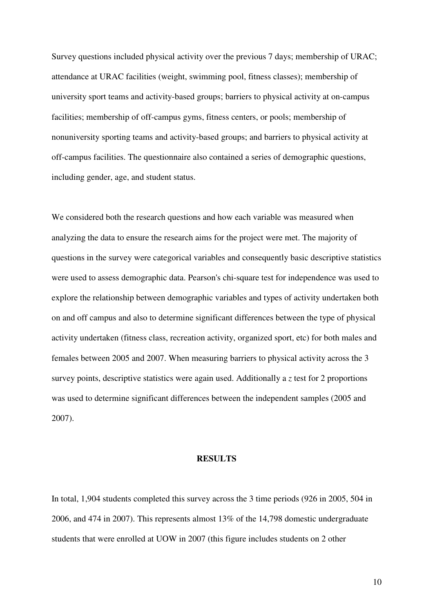Survey questions included physical activity over the previous 7 days; membership of URAC; attendance at URAC facilities (weight, swimming pool, fitness classes); membership of university sport teams and activity-based groups; barriers to physical activity at on-campus facilities; membership of off-campus gyms, fitness centers, or pools; membership of nonuniversity sporting teams and activity-based groups; and barriers to physical activity at off-campus facilities. The questionnaire also contained a series of demographic questions, including gender, age, and student status.

We considered both the research questions and how each variable was measured when analyzing the data to ensure the research aims for the project were met. The majority of questions in the survey were categorical variables and consequently basic descriptive statistics were used to assess demographic data. Pearson's chi-square test for independence was used to explore the relationship between demographic variables and types of activity undertaken both on and off campus and also to determine significant differences between the type of physical activity undertaken (fitness class, recreation activity, organized sport, etc) for both males and females between 2005 and 2007. When measuring barriers to physical activity across the 3 survey points, descriptive statistics were again used. Additionally a *z* test for 2 proportions was used to determine significant differences between the independent samples (2005 and 2007).

### **RESULTS**

In total, 1,904 students completed this survey across the 3 time periods (926 in 2005, 504 in 2006, and 474 in 2007). This represents almost 13% of the 14,798 domestic undergraduate students that were enrolled at UOW in 2007 (this figure includes students on 2 other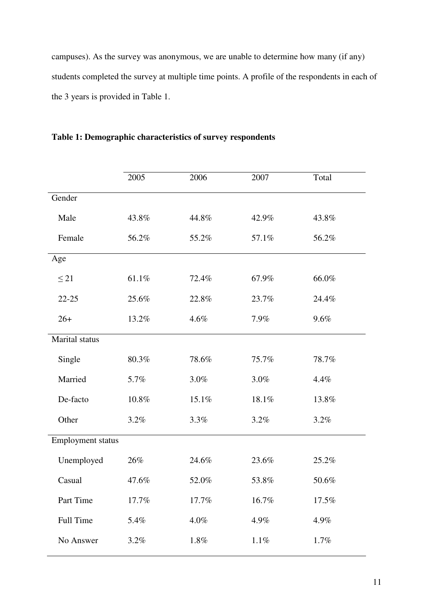campuses). As the survey was anonymous, we are unable to determine how many (if any) students completed the survey at multiple time points. A profile of the respondents in each of the 3 years is provided in Table 1.

|                   | 2005  | 2006  | 2007     | Total |
|-------------------|-------|-------|----------|-------|
| Gender            |       |       |          |       |
| Male              | 43.8% | 44.8% | 42.9%    | 43.8% |
| Female            | 56.2% | 55.2% | 57.1%    | 56.2% |
| Age               |       |       |          |       |
| $\leq$ 21         | 61.1% | 72.4% | 67.9%    | 66.0% |
| $22 - 25$         | 25.6% | 22.8% | 23.7%    | 24.4% |
| $26+$             | 13.2% | 4.6%  | 7.9%     | 9.6%  |
| Marital status    |       |       |          |       |
| Single            | 80.3% | 78.6% | 75.7%    | 78.7% |
| Married           | 5.7%  | 3.0%  | 3.0%     | 4.4%  |
| De-facto          | 10.8% | 15.1% | 18.1%    | 13.8% |
| Other             | 3.2%  | 3.3%  | 3.2%     | 3.2%  |
| Employment status |       |       |          |       |
| Unemployed        | 26%   | 24.6% | 23.6%    | 25.2% |
| Casual            | 47.6% | 52.0% | 53.8%    | 50.6% |
| Part Time         | 17.7% | 17.7% | $16.7\%$ | 17.5% |
| Full Time         | 5.4%  | 4.0%  | 4.9%     | 4.9%  |
| No Answer         | 3.2%  | 1.8%  | $1.1\%$  | 1.7%  |

**Table 1: Demographic characteristics of survey respondents**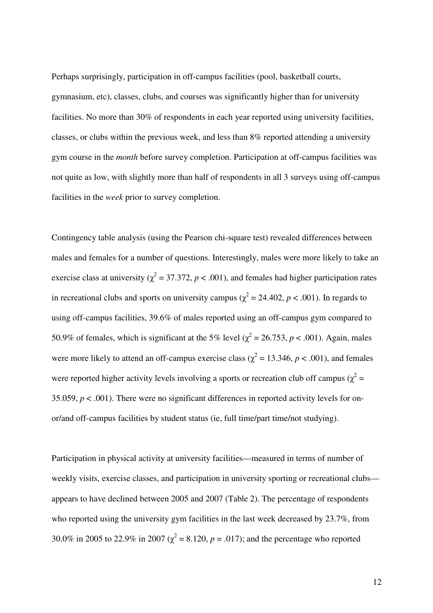Perhaps surprisingly, participation in off-campus facilities (pool, basketball courts, gymnasium, etc), classes, clubs, and courses was significantly higher than for university facilities. No more than 30% of respondents in each year reported using university facilities, classes, or clubs within the previous week, and less than 8% reported attending a university gym course in the *month* before survey completion. Participation at off-campus facilities was not quite as low, with slightly more than half of respondents in all 3 surveys using off-campus facilities in the *week* prior to survey completion.

Contingency table analysis (using the Pearson chi-square test) revealed differences between males and females for a number of questions. Interestingly, males were more likely to take an exercise class at university ( $\chi^2$  = 37.372, *p* < .001), and females had higher participation rates in recreational clubs and sports on university campus ( $\chi^2$  = 24.402, *p* < .001). In regards to using off-campus facilities, 39.6% of males reported using an off-campus gym compared to 50.9% of females, which is significant at the 5% level ( $\chi^2$  = 26.753, *p* < .001). Again, males were more likely to attend an off-campus exercise class ( $\chi^2$  = 13.346, *p* < .001), and females were reported higher activity levels involving a sports or recreation club off campus ( $\chi^2$  = 35.059,  $p < .001$ ). There were no significant differences in reported activity levels for onor/and off-campus facilities by student status (ie, full time/part time/not studying).

Participation in physical activity at university facilities—measured in terms of number of weekly visits, exercise classes, and participation in university sporting or recreational clubs appears to have declined between 2005 and 2007 (Table 2). The percentage of respondents who reported using the university gym facilities in the last week decreased by 23.7%, from 30.0% in 2005 to 22.9% in 2007 ( $\chi^2$  = 8.120, *p* = .017); and the percentage who reported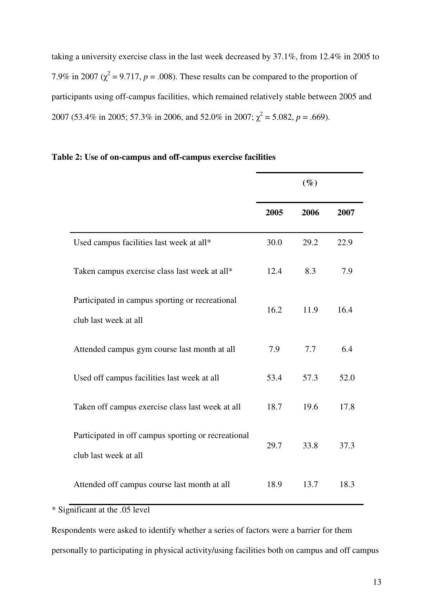taking a university exercise class in the last week decreased by 37.1%, from 12.4% in 2005 to 7.9% in 2007 ( $\chi^2$  = 9.717, *p* = .008). These results can be compared to the proportion of participants using off-campus facilities, which remained relatively stable between 2005 and 2007 (53.4% in 2005; 57.3% in 2006, and 52.0% in 2007;  $\chi^2 = 5.082$ ,  $p = .669$ ).

|                                                                              | $(\%)$ |      |      |
|------------------------------------------------------------------------------|--------|------|------|
|                                                                              | 2005   | 2006 | 2007 |
| Used campus facilities last week at all*                                     | 30.0   | 29.2 | 22.9 |
| Taken campus exercise class last week at all*                                | 12.4   | 8.3  | 7.9  |
| Participated in campus sporting or recreational<br>club last week at all     | 16.2   | 11.9 | 16.4 |
| Attended campus gym course last month at all                                 | 7.9    | 7.7  | 6.4  |
| Used off campus facilities last week at all                                  | 53.4   | 57.3 | 52.0 |
| Taken off campus exercise class last week at all                             | 18.7   | 19.6 | 17.8 |
| Participated in off campus sporting or recreational<br>club last week at all | 29.7   | 33.8 | 37.3 |
| Attended off campus course last month at all                                 | 18.9   | 13.7 | 18.3 |

### **Table 2: Use of on-campus and off-campus exercise facilities**

\* Significant at the .05 level

Respondents were asked to identify whether a series of factors were a barrier for them personally to participating in physical activity/using facilities both on campus and off campus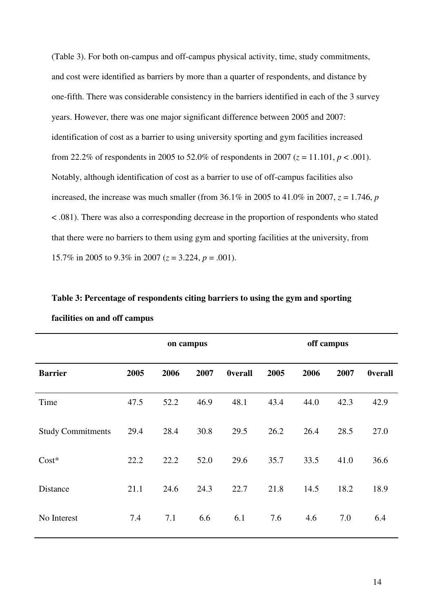(Table 3). For both on-campus and off-campus physical activity, time, study commitments, and cost were identified as barriers by more than a quarter of respondents, and distance by one-fifth. There was considerable consistency in the barriers identified in each of the 3 survey years. However, there was one major significant difference between 2005 and 2007: identification of cost as a barrier to using university sporting and gym facilities increased from 22.2% of respondents in 2005 to 52.0% of respondents in 2007 ( $z = 11.101$ ,  $p < .001$ ). Notably, although identification of cost as a barrier to use of off-campus facilities also increased, the increase was much smaller (from  $36.1\%$  in 2005 to  $41.0\%$  in 2007,  $z = 1.746$ , *p* < .081). There was also a corresponding decrease in the proportion of respondents who stated that there were no barriers to them using gym and sporting facilities at the university, from 15.7% in 2005 to 9.3% in 2007 (*z* = 3.224, *p* = .001).

|                          | on campus |      |      |                | off campus |      |      |                |
|--------------------------|-----------|------|------|----------------|------------|------|------|----------------|
| <b>Barrier</b>           | 2005      | 2006 | 2007 | <b>Overall</b> | 2005       | 2006 | 2007 | <b>Overall</b> |
| Time                     | 47.5      | 52.2 | 46.9 | 48.1           | 43.4       | 44.0 | 42.3 | 42.9           |
| <b>Study Commitments</b> | 29.4      | 28.4 | 30.8 | 29.5           | 26.2       | 26.4 | 28.5 | 27.0           |
| $Cost*$                  | 22.2      | 22.2 | 52.0 | 29.6           | 35.7       | 33.5 | 41.0 | 36.6           |
| Distance                 | 21.1      | 24.6 | 24.3 | 22.7           | 21.8       | 14.5 | 18.2 | 18.9           |
| No Interest              | 7.4       | 7.1  | 6.6  | 6.1            | 7.6        | 4.6  | 7.0  | 6.4            |

**Table 3: Percentage of respondents citing barriers to using the gym and sporting facilities on and off campus**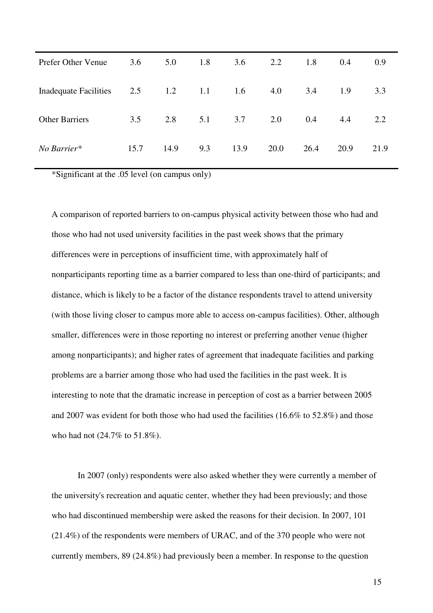| Prefer Other Venue                | 3.6  | 5.0  | 1.8 | 3.6  | 2.2  | 1.8  | 0.4  | 0.9  |
|-----------------------------------|------|------|-----|------|------|------|------|------|
| Inadequate Facilities 2.5 1.2 1.1 |      |      |     | 1.6  | 4.0  | 3.4  | 1.9  | 3.3  |
| <b>Other Barriers</b>             | 3.5  | 2.8  | 5.1 | 3.7  | 2.0  | 0.4  | 4.4  | 2.2  |
| No Barrier*                       | 15.7 | 14.9 | 9.3 | 13.9 | 20.0 | 26.4 | 20.9 | 21.9 |

\*Significant at the .05 level (on campus only)

A comparison of reported barriers to on-campus physical activity between those who had and those who had not used university facilities in the past week shows that the primary differences were in perceptions of insufficient time, with approximately half of nonparticipants reporting time as a barrier compared to less than one-third of participants; and distance, which is likely to be a factor of the distance respondents travel to attend university (with those living closer to campus more able to access on-campus facilities). Other, although smaller, differences were in those reporting no interest or preferring another venue (higher among nonparticipants); and higher rates of agreement that inadequate facilities and parking problems are a barrier among those who had used the facilities in the past week. It is interesting to note that the dramatic increase in perception of cost as a barrier between 2005 and 2007 was evident for both those who had used the facilities (16.6% to 52.8%) and those who had not (24.7% to 51.8%).

In 2007 (only) respondents were also asked whether they were currently a member of the university's recreation and aquatic center, whether they had been previously; and those who had discontinued membership were asked the reasons for their decision. In 2007, 101 (21.4%) of the respondents were members of URAC, and of the 370 people who were not currently members, 89 (24.8%) had previously been a member. In response to the question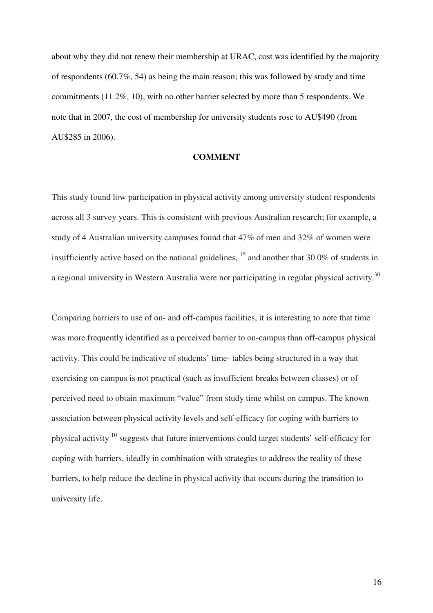about why they did not renew their membership at URAC, cost was identified by the majority of respondents (60.7%, 54) as being the main reason; this was followed by study and time commitments (11.2%, 10), with no other barrier selected by more than 5 respondents. We note that in 2007, the cost of membership for university students rose to AU\$490 (from AU\$285 in 2006).

### **COMMENT**

This study found low participation in physical activity among university student respondents across all 3 survey years. This is consistent with previous Australian research; for example, a study of 4 Australian university campuses found that 47% of men and 32% of women were insufficiently active based on the national guidelines,  $15$  and another that 30.0% of students in a regional university in Western Australia were not participating in regular physical activity.<sup>30</sup>

Comparing barriers to use of on- and off-campus facilities, it is interesting to note that time was more frequently identified as a perceived barrier to on-campus than off-campus physical activity. This could be indicative of students' time- tables being structured in a way that exercising on campus is not practical (such as insufficient breaks between classes) or of perceived need to obtain maximum "value" from study time whilst on campus. The known association between physical activity levels and self-efficacy for coping with barriers to physical activity <sup>10</sup> suggests that future interventions could target students' self-efficacy for coping with barriers, ideally in combination with strategies to address the reality of these barriers, to help reduce the decline in physical activity that occurs during the transition to university life.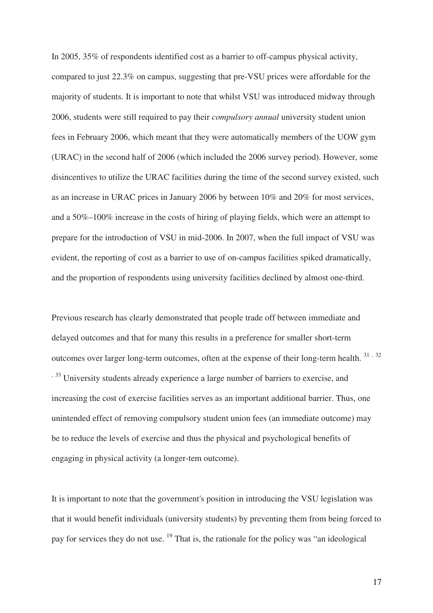In 2005, 35% of respondents identified cost as a barrier to off-campus physical activity, compared to just 22.3% on campus, suggesting that pre-VSU prices were affordable for the majority of students. It is important to note that whilst VSU was introduced midway through 2006, students were still required to pay their *compulsory annual* university student union fees in February 2006, which meant that they were automatically members of the UOW gym (URAC) in the second half of 2006 (which included the 2006 survey period). However, some disincentives to utilize the URAC facilities during the time of the second survey existed, such as an increase in URAC prices in January 2006 by between 10% and 20% for most services, and a 50%–100% increase in the costs of hiring of playing fields, which were an attempt to prepare for the introduction of VSU in mid-2006. In 2007, when the full impact of VSU was evident, the reporting of cost as a barrier to use of on-campus facilities spiked dramatically, and the proportion of respondents using university facilities declined by almost one-third.

Previous research has clearly demonstrated that people trade off between immediate and delayed outcomes and that for many this results in a preference for smaller short-term outcomes over larger long-term outcomes, often at the expense of their long-term health.<sup>31,32</sup> <sup>33</sup>. University students already experience a large number of barriers to exercise, and increasing the cost of exercise facilities serves as an important additional barrier. Thus, one unintended effect of removing compulsory student union fees (an immediate outcome) may be to reduce the levels of exercise and thus the physical and psychological benefits of engaging in physical activity (a longer-tem outcome).

It is important to note that the government's position in introducing the VSU legislation was that it would benefit individuals (university students) by preventing them from being forced to pay for services they do not use. <sup>19</sup> That is, the rationale for the policy was "an ideological

17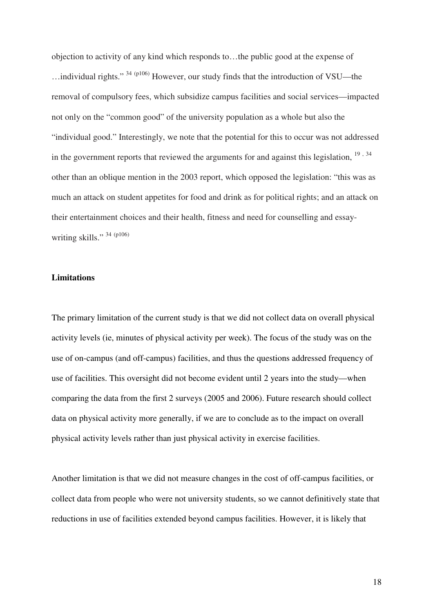objection to activity of any kind which responds to…the public good at the expense of …individual rights." <sup>34</sup> (p106) However, our study finds that the introduction of VSU—the removal of compulsory fees, which subsidize campus facilities and social services—impacted not only on the "common good" of the university population as a whole but also the "individual good." Interestingly, we note that the potential for this to occur was not addressed in the government reports that reviewed the arguments for and against this legislation, <sup>19,34</sup> other than an oblique mention in the 2003 report, which opposed the legislation: "this was as much an attack on student appetites for food and drink as for political rights; and an attack on their entertainment choices and their health, fitness and need for counselling and essaywriting skills." <sup>34 (p106)</sup>

### **Limitations**

The primary limitation of the current study is that we did not collect data on overall physical activity levels (ie, minutes of physical activity per week). The focus of the study was on the use of on-campus (and off-campus) facilities, and thus the questions addressed frequency of use of facilities. This oversight did not become evident until 2 years into the study—when comparing the data from the first 2 surveys (2005 and 2006). Future research should collect data on physical activity more generally, if we are to conclude as to the impact on overall physical activity levels rather than just physical activity in exercise facilities.

Another limitation is that we did not measure changes in the cost of off-campus facilities, or collect data from people who were not university students, so we cannot definitively state that reductions in use of facilities extended beyond campus facilities. However, it is likely that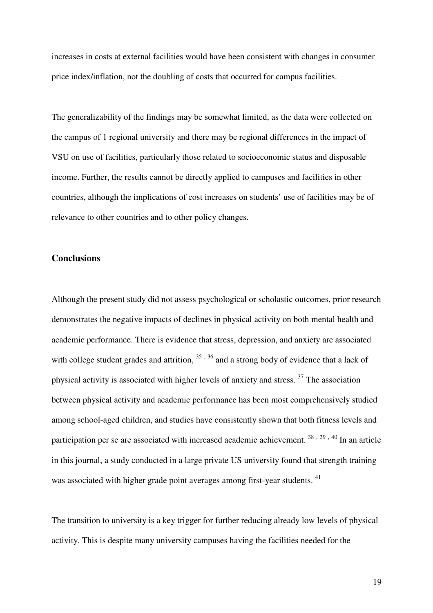increases in costs at external facilities would have been consistent with changes in consumer price index/inflation, not the doubling of costs that occurred for campus facilities.

The generalizability of the findings may be somewhat limited, as the data were collected on the campus of 1 regional university and there may be regional differences in the impact of VSU on use of facilities, particularly those related to socioeconomic status and disposable income. Further, the results cannot be directly applied to campuses and facilities in other countries, although the implications of cost increases on students' use of facilities may be of relevance to other countries and to other policy changes.

### **Conclusions**

Although the present study did not assess psychological or scholastic outcomes, prior research demonstrates the negative impacts of declines in physical activity on both mental health and academic performance. There is evidence that stress, depression, and anxiety are associated with college student grades and attrition,  $35, 36$  and a strong body of evidence that a lack of physical activity is associated with higher levels of anxiety and stress.<sup>37</sup> The association between physical activity and academic performance has been most comprehensively studied among school-aged children, and studies have consistently shown that both fitness levels and participation per se are associated with increased academic achievement. <sup>38, 39, 40</sup> In an article in this journal, a study conducted in a large private US university found that strength training was associated with higher grade point averages among first-year students. <sup>41</sup>

The transition to university is a key trigger for further reducing already low levels of physical activity. This is despite many university campuses having the facilities needed for the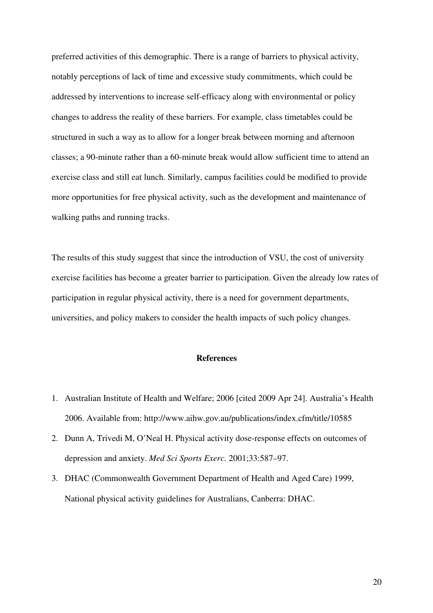preferred activities of this demographic. There is a range of barriers to physical activity, notably perceptions of lack of time and excessive study commitments, which could be addressed by interventions to increase self-efficacy along with environmental or policy changes to address the reality of these barriers. For example, class timetables could be structured in such a way as to allow for a longer break between morning and afternoon classes; a 90-minute rather than a 60-minute break would allow sufficient time to attend an exercise class and still eat lunch. Similarly, campus facilities could be modified to provide more opportunities for free physical activity, such as the development and maintenance of walking paths and running tracks.

The results of this study suggest that since the introduction of VSU, the cost of university exercise facilities has become a greater barrier to participation. Given the already low rates of participation in regular physical activity, there is a need for government departments, universities, and policy makers to consider the health impacts of such policy changes.

### **References**

- 1. Australian Institute of Health and Welfare; 2006 [cited 2009 Apr 24]. Australia's Health 2006. Available from: http://www.aihw.gov.au/publications/index.cfm/title/10585
- 2. Dunn A, Trivedi M, O'Neal H. Physical activity dose-response effects on outcomes of depression and anxiety. *Med Sci Sports Exerc.* 2001;33:587–97.
- 3. DHAC (Commonwealth Government Department of Health and Aged Care) 1999, National physical activity guidelines for Australians, Canberra: DHAC.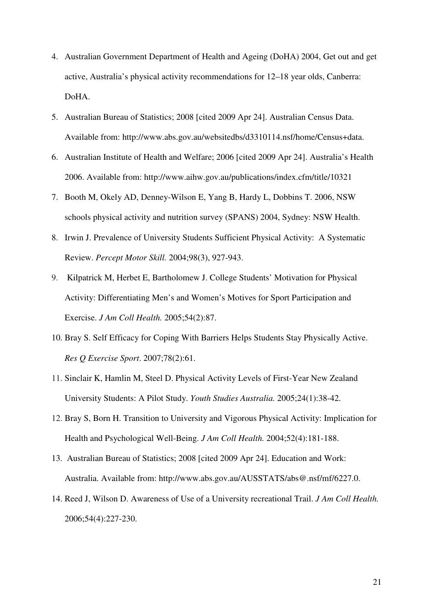- 4. Australian Government Department of Health and Ageing (DoHA) 2004, Get out and get active, Australia's physical activity recommendations for 12–18 year olds, Canberra: DoHA.
- 5. Australian Bureau of Statistics; 2008 [cited 2009 Apr 24]. Australian Census Data. Available from: http://www.abs.gov.au/websitedbs/d3310114.nsf/home/Census+data.
- 6. Australian Institute of Health and Welfare; 2006 [cited 2009 Apr 24]. Australia's Health 2006. Available from: http://www.aihw.gov.au/publications/index.cfm/title/10321
- 7. Booth M, Okely AD, Denney-Wilson E, Yang B, Hardy L, Dobbins T. 2006, NSW schools physical activity and nutrition survey (SPANS) 2004, Sydney: NSW Health.
- 8. Irwin J. Prevalence of University Students Sufficient Physical Activity: A Systematic Review. *Percept Motor Skill.* 2004;98(3), 927-943.
- 9. Kilpatrick M, Herbet E, Bartholomew J. College Students' Motivation for Physical Activity: Differentiating Men's and Women's Motives for Sport Participation and Exercise. *J Am Coll Health.* 2005;54(2):87.
- 10. Bray S. Self Efficacy for Coping With Barriers Helps Students Stay Physically Active. *Res Q Exercise Sport*. 2007;78(2):61.
- 11. Sinclair K, Hamlin M, Steel D. Physical Activity Levels of First-Year New Zealand University Students: A Pilot Study. *Youth Studies Australia.* 2005;24(1):38-42.
- 12. Bray S, Born H. Transition to University and Vigorous Physical Activity: Implication for Health and Psychological Well-Being. *J Am Coll Health.* 2004;52(4):181-188.
- 13. Australian Bureau of Statistics; 2008 [cited 2009 Apr 24]. Education and Work: Australia. Available from: http://www.abs.gov.au/AUSSTATS/abs@.nsf/mf/6227.0.
- 14. Reed J, Wilson D. Awareness of Use of a University recreational Trail. *J Am Coll Health.*  2006;54(4):227-230.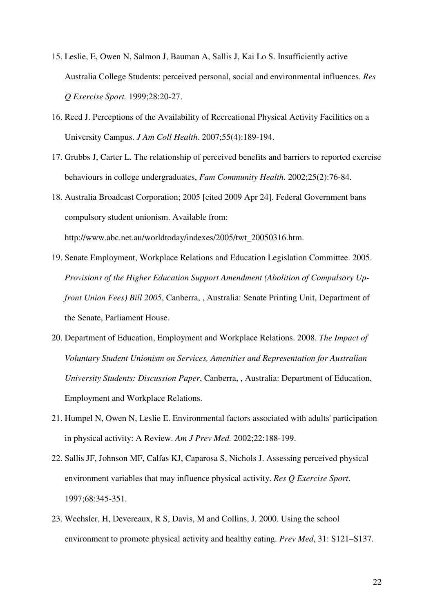- 15. Leslie, E, Owen N, Salmon J, Bauman A, Sallis J, Kai Lo S. Insufficiently active Australia College Students: perceived personal, social and environmental influences. *Res Q Exercise Sport.* 1999;28:20-27.
- 16. Reed J. Perceptions of the Availability of Recreational Physical Activity Facilities on a University Campus. *J Am Coll Health*. 2007;55(4):189-194.
- 17. Grubbs J, Carter L. The relationship of perceived benefits and barriers to reported exercise behaviours in college undergraduates, *Fam Community Health.* 2002;25(2):76-84.
- 18. Australia Broadcast Corporation; 2005 [cited 2009 Apr 24]. Federal Government bans compulsory student unionism. Available from: http://www.abc.net.au/worldtoday/indexes/2005/twt\_20050316.htm.
- 19. Senate Employment, Workplace Relations and Education Legislation Committee. 2005. *Provisions of the Higher Education Support Amendment (Abolition of Compulsory Upfront Union Fees) Bill 2005*, Canberra, , Australia: Senate Printing Unit, Department of the Senate, Parliament House.
- 20. Department of Education, Employment and Workplace Relations. 2008. *The Impact of Voluntary Student Unionism on Services, Amenities and Representation for Australian University Students: Discussion Paper*, Canberra, , Australia: Department of Education, Employment and Workplace Relations.
- 21. Humpel N, Owen N, Leslie E. Environmental factors associated with adults' participation in physical activity: A Review. *Am J Prev Med.* 2002;22:188-199.
- 22. Sallis JF, Johnson MF, Calfas KJ, Caparosa S, Nichols J. Assessing perceived physical environment variables that may influence physical activity. *Res Q Exercise Sport*. 1997;68:345-351.
- 23. Wechsler, H, Devereaux, R S, Davis, M and Collins, J. 2000. Using the school environment to promote physical activity and healthy eating. *Prev Med*, 31: S121–S137.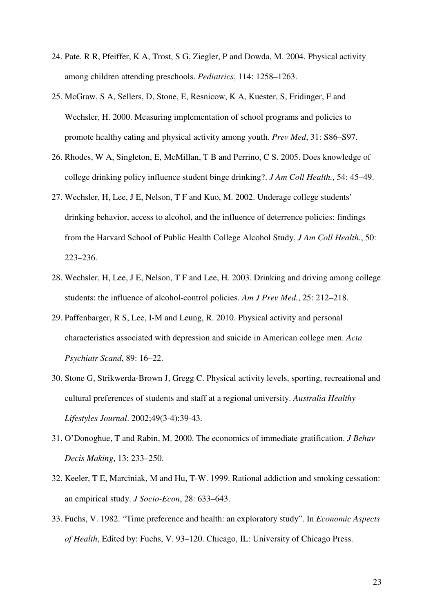- 24. Pate, R R, Pfeiffer, K A, Trost, S G, Ziegler, P and Dowda, M. 2004. Physical activity among children attending preschools. *Pediatrics*, 114: 1258–1263.
- 25. McGraw, S A, Sellers, D, Stone, E, Resnicow, K A, Kuester, S, Fridinger, F and Wechsler, H. 2000. Measuring implementation of school programs and policies to promote healthy eating and physical activity among youth. *Prev Med*, 31: S86–S97.
- 26. Rhodes, W A, Singleton, E, McMillan, T B and Perrino, C S. 2005. Does knowledge of college drinking policy influence student binge drinking?. *J Am Coll Health.*, 54: 45–49.
- 27. Wechsler, H, Lee, J E, Nelson, T F and Kuo, M. 2002. Underage college students' drinking behavior, access to alcohol, and the influence of deterrence policies: findings from the Harvard School of Public Health College Alcohol Study. *J Am Coll Health.*, 50: 223–236.
- 28. Wechsler, H, Lee, J E, Nelson, T F and Lee, H. 2003. Drinking and driving among college students: the influence of alcohol-control policies. *Am J Prev Med.*, 25: 212–218.
- 29. Paffenbarger, R S, Lee, I-M and Leung, R. 2010. Physical activity and personal characteristics associated with depression and suicide in American college men. *Acta Psychiatr Scand*, 89: 16–22.
- 30. Stone G, Strikwerda-Brown J, Gregg C. Physical activity levels, sporting, recreational and cultural preferences of students and staff at a regional university. *Australia Healthy Lifestyles Journal*. 2002;49(3-4):39-43.
- 31. O'Donoghue, T and Rabin, M. 2000. The economics of immediate gratification. *J Behav Decis Making*, 13: 233–250.
- 32. Keeler, T E, Marciniak, M and Hu, T-W. 1999. Rational addiction and smoking cessation: an empirical study. *J Socio-Econ*, 28: 633–643.
- 33. Fuchs, V. 1982. "Time preference and health: an exploratory study". In *Economic Aspects of Health*, Edited by: Fuchs, V. 93–120. Chicago, IL: University of Chicago Press.